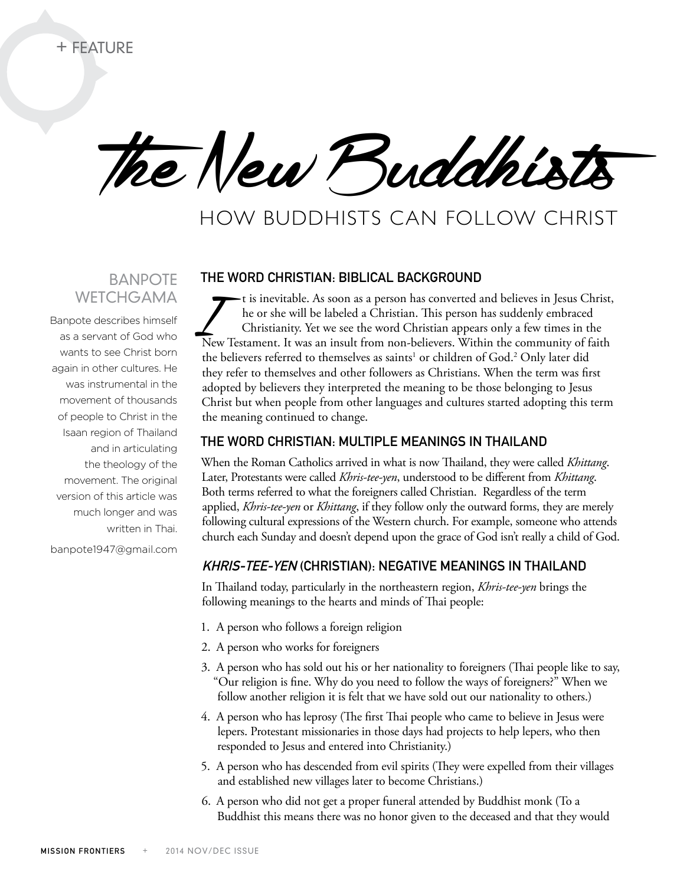The New Buddhists

# How Buddhists can Follow Christ

# **BANPOTE WETCHGAMA**

Banpote describes himself as a servant of God who wants to see Christ born again in other cultures. He was instrumental in the movement of thousands of people to Christ in the Isaan region of Thailand and in articulating the theology of the movement. The original version of this article was much longer and was written in Thai.

banpote1947@gmail.com

#### The word Christian: Biblical background

I is inevitable. As soon as a person has converted and believes in Jesus Christ,<br>he or she will be labeled a Christian. This person has suddenly embraced<br>Christianity. Yet we see the word Christian appears only a few times he or she will be labeled a Christian. This person has suddenly embraced Christianity. Yet we see the word Christian appears only a few times in the New Testament. It was an insult from non-believers. Within the community of faith the believers referred to themselves as saints<sup>1</sup> or children of God.<sup>2</sup> Only later did they refer to themselves and other followers as Christians. When the term was first adopted by believers they interpreted the meaning to be those belonging to Jesus Christ but when people from other languages and cultures started adopting this term the meaning continued to change.

## The word Christian: multiple meanings in Thailand

When the Roman Catholics arrived in what is now Thailand, they were called *Khittang*. Later, Protestants were called *Khris-tee-yen*, understood to be different from *Khittang*. Both terms referred to what the foreigners called Christian. Regardless of the term applied, *Khris-tee-yen* or *Khittang*, if they follow only the outward forms, they are merely following cultural expressions of the Western church. For example, someone who attends church each Sunday and doesn't depend upon the grace of God isn't really a child of God.

## Khris-tee-yen (Christian): negative meanings in Thailand

In Thailand today, particularly in the northeastern region, *Khris-tee-yen* brings the following meanings to the hearts and minds of Thai people:

- 1. A person who follows a foreign religion
- 2. A person who works for foreigners
- 3. A person who has sold out his or her nationality to foreigners (Thai people like to say, "Our religion is fine. Why do you need to follow the ways of foreigners?" When we follow another religion it is felt that we have sold out our nationality to others.)
- 4. A person who has leprosy (The first Thai people who came to believe in Jesus were lepers. Protestant missionaries in those days had projects to help lepers, who then responded to Jesus and entered into Christianity.)
- 5. A person who has descended from evil spirits (They were expelled from their villages and established new villages later to become Christians.)
- 6. A person who did not get a proper funeral attended by Buddhist monk (To a Buddhist this means there was no honor given to the deceased and that they would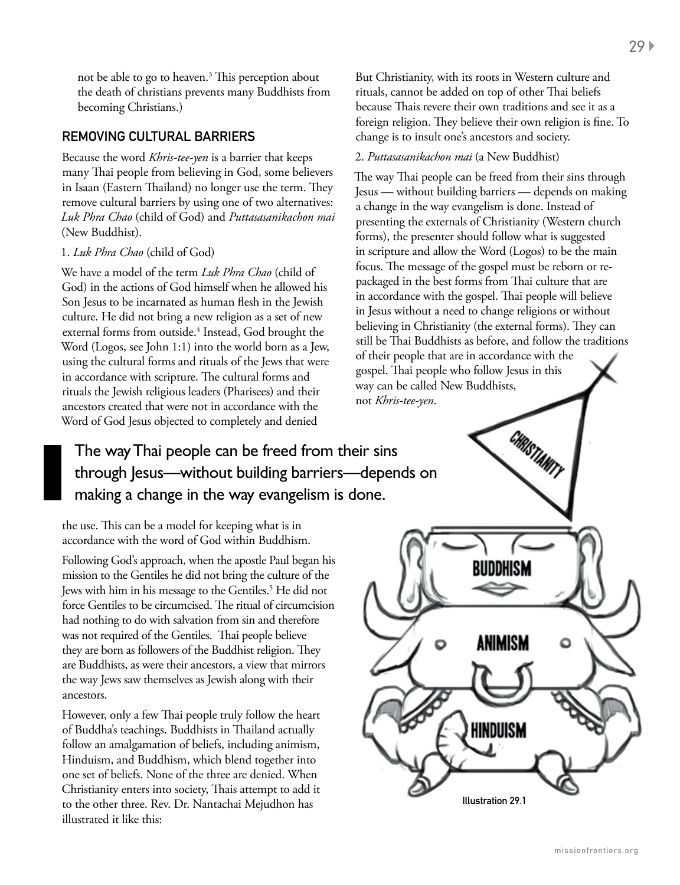not be able to go to heaven.<sup>3</sup> This perception about the death of christians prevents many Buddhists from becoming Christians.)

## Removing cultural barriers

Because the word *Khris-tee-yen* is a barrier that keeps many Thai people from believing in God, some believers in Isaan (Eastern Thailand) no longer use the term. They remove cultural barriers by using one of two alternatives: *Luk Phra Chao* (child of God) and *Puttasasanikachon mai* (New Buddhist).

#### 1. *Luk Phra Chao* (child of God)

We have a model of the term *Luk Phra Chao* (child of God) in the actions of God himself when he allowed his Son Jesus to be incarnated as human flesh in the Jewish culture. He did not bring a new religion as a set of new external forms from outside.<sup>4</sup> Instead, God brought the Word (Logos, see John 1:1) into the world born as a Jew, using the cultural forms and rituals of the Jews that were in accordance with scripture. The cultural forms and rituals the Jewish religious leaders (Pharisees) and their ancestors created that were not in accordance with the Word of God Jesus objected to completely and denied

But Christianity, with its roots in Western culture and rituals, cannot be added on top of other Thai beliefs because Thais revere their own traditions and see it as a foreign religion. They believe their own religion is fine. To change is to insult one's ancestors and society.

#### 2. *Puttasasanikachon mai* (a New Buddhist)

The way Thai people can be freed from their sins through Jesus — without building barriers — depends on making a change in the way evangelism is done. Instead of presenting the externals of Christianity (Western church forms), the presenter should follow what is suggested in scripture and allow the Word (Logos) to be the main focus. The message of the gospel must be reborn or repackaged in the best forms from Thai culture that are in accordance with the gospel. Thai people will believe in Jesus without a need to change religions or without believing in Christianity (the external forms). They can still be Thai Buddhists as before, and follow the traditions of their people that are in accordance with the gospel. Thai people who follow Jesus in this way can be called New Buddhists, not *Khris-tee-yen*.

Illustration 29.1

**HINDUISM** 

ANIMISM

۵

The way Thai people can be freed from their sins through Jesus—without building barriers—depends on making a change in the way evangelism is done.

the use. This can be a model for keeping what is in accordance with the word of God within Buddhism.

Following God's approach, when the apostle Paul began his mission to the Gentiles he did not bring the culture of the Jews with him in his message to the Gentiles.<sup>5</sup> He did not force Gentiles to be circumcised. The ritual of circumcision had nothing to do with salvation from sin and therefore was not required of the Gentiles. Thai people believe they are born as followers of the Buddhist religion. They are Buddhists, as were their ancestors, a view that mirrors the way Jews saw themselves as Jewish along with their ancestors.

However, only a few Thai people truly follow the heart of Buddha's teachings. Buddhists in Thailand actually follow an amalgamation of beliefs, including animism, Hinduism, and Buddhism, which blend together into one set of beliefs. None of the three are denied. When Christianity enters into society, Thais attempt to add it to the other three. Rev. Dr. Nantachai Mejudhon has illustrated it like this: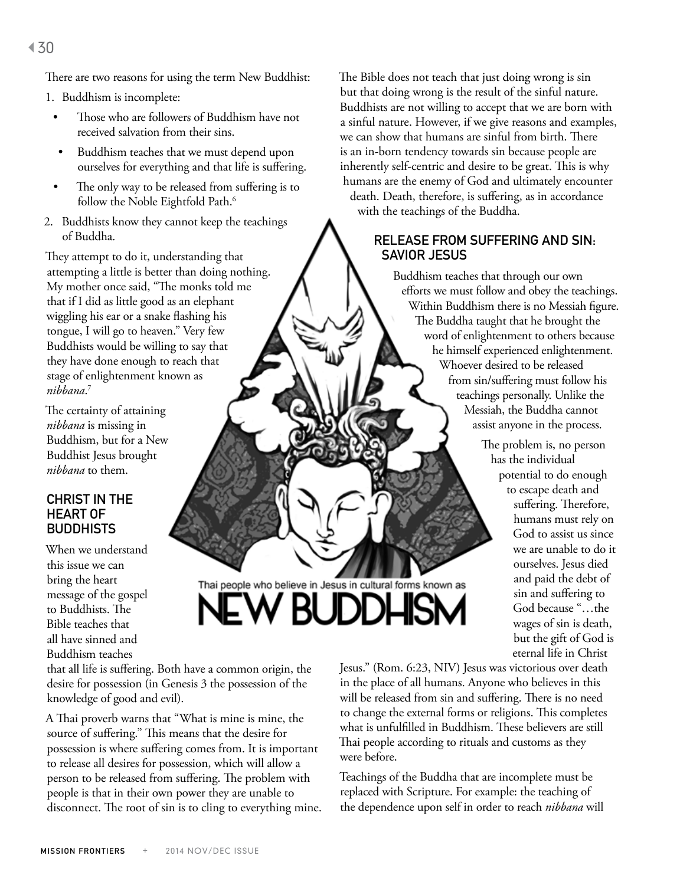There are two reasons for using the term New Buddhist:

- 1. Buddhism is incomplete:
	- Those who are followers of Buddhism have not received salvation from their sins.
	- Buddhism teaches that we must depend upon ourselves for everything and that life is suffering.
	- The only way to be released from suffering is to follow the Noble Eightfold Path.<sup>6</sup>
- 2. Buddhists know they cannot keep the teachings of Buddha.

They attempt to do it, understanding that attempting a little is better than doing nothing. My mother once said, "The monks told me that if I did as little good as an elephant wiggling his ear or a snake flashing his tongue, I will go to heaven." Very few Buddhists would be willing to say that they have done enough to reach that stage of enlightenment known as *nibbana*. 7

The certainty of attaining *nibbana* is missing in Buddhism, but for a New Buddhist Jesus brought *nibbana* to them.

## CHRIST IN THE heart of **BUDDHISTS**

When we understand this issue we can bring the heart message of the gospel to Buddhists. The Bible teaches that all have sinned and Buddhism teaches

that all life is suffering. Both have a common origin, the desire for possession (in Genesis 3 the possession of the knowledge of good and evil).

A Thai proverb warns that "What is mine is mine, the source of suffering." This means that the desire for possession is where suffering comes from. It is important to release all desires for possession, which will allow a person to be released from suffering. The problem with people is that in their own power they are unable to disconnect. The root of sin is to cling to everything mine. The Bible does not teach that just doing wrong is sin but that doing wrong is the result of the sinful nature. Buddhists are not willing to accept that we are born with a sinful nature. However, if we give reasons and examples, we can show that humans are sinful from birth. There is an in-born tendency towards sin because people are inherently self-centric and desire to be great. This is why humans are the enemy of God and ultimately encounter death. Death, therefore, is suffering, as in accordance with the teachings of the Buddha.

## Release from suffering and sin: Savior Jesus

Buddhism teaches that through our own efforts we must follow and obey the teachings. Within Buddhism there is no Messiah figure. The Buddha taught that he brought the word of enlightenment to others because he himself experienced enlightenment. Whoever desired to be released from sin/suffering must follow his teachings personally. Unlike the Messiah, the Buddha cannot assist anyone in the process.

> The problem is, no person has the individual potential to do enough to escape death and suffering. Therefore, humans must rely on God to assist us since we are unable to do it ourselves. Jesus died and paid the debt of sin and suffering to God because "…the wages of sin is death, but the gift of God is eternal life in Christ

Jesus." (Rom. 6:23, NIV) Jesus was victorious over death in the place of all humans. Anyone who believes in this will be released from sin and suffering. There is no need to change the external forms or religions. This completes what is unfulfilled in Buddhism. These believers are still Thai people according to rituals and customs as they were before.

Thai people who believe in Jesus in cultural forms known as

W BUDDHISM

Teachings of the Buddha that are incomplete must be replaced with Scripture. For example: the teaching of the dependence upon self in order to reach *nibbana* will